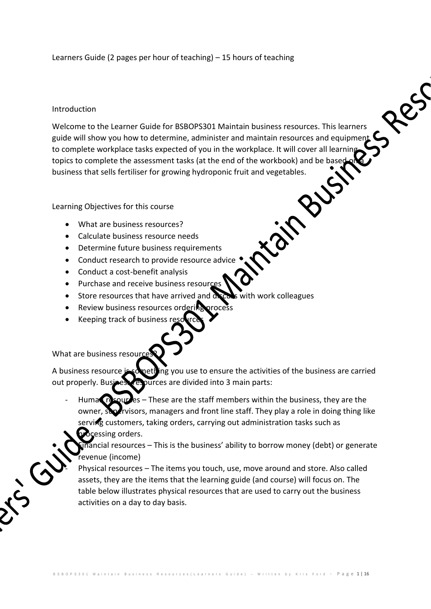## Learners Guide (2 pages per hour of teaching) – 15 hours of teaching

## Introduction

Welcome to the Learner Guide for BSBOPS301 Maintain business resources. This learners guide will show you how to determine, administer and maintain resources and equipment  $\mathsf C$ to complete workplace tasks expected of you in the workplace. It will cover all learnin<br>topics to complete the assessment tasks (at the end of the workbook) and be based<br>business that sells fertiliser for growing hydroponi topics to complete the assessment tasks (at the end of the workbook) and be base business that sells fertiliser for growing hydroponic fruit and vegetables.

Res

## Learning Objectives for this course

- What are business resources?
- Calculate business resource needs
- Determine future business requirements
- Conduct research to provide resource advice
- $\bullet$  Conduct a cost-benefit analysis
- Purchase and receive business resources
- $\bullet$  Store resources that have arrived and  $\alpha$   $\alpha$  is with work colleagues
- Review business resources ordering proces
- Keeping track of business resources

What are business resour

 $\overline{(\cdot)}$ 

A business resource is something you use to ensure the activities of the business are carried out properly. Business resources are divided into 3 main parts:

Human resources – These are the staff members within the business, they are the owner, supervisors, managers and front line staff. They play a role in doing thing like serving customers, taking orders, carrying out administration tasks such as processing orders.

 $\frac{1}{2}$  inancial resources – This is the business' ability to borrow money (debt) or generate revenue (income)

Physical resources – The items you touch, use, move around and store. Also called assets, they are the items that the learning guide (and course) will focus on. The table below illustrates physical resources that are used to carry out the business activities on a day to day basis.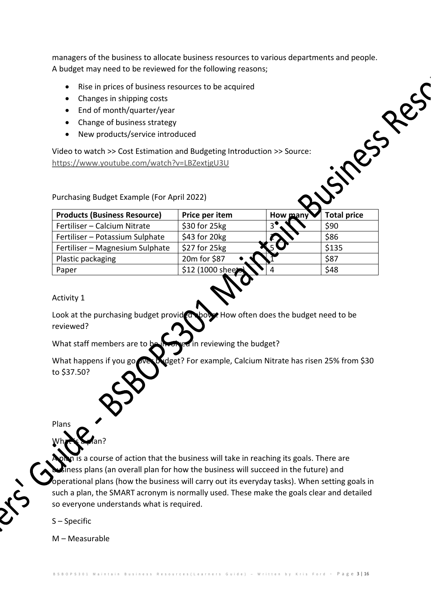managers of the business to allocate business resources to various departments and people. A budget may need to be reviewed for the following reasons;

- Rise in prices of business resources to be acquired
- Changes in shipping costs
- $\bullet$  End of month/quarter/year
- Change of business strategy
- New products/service introduced

| A budget may need to be reviewed for the following reasons;                                                                                                                                  |                   |          |                    |  |
|----------------------------------------------------------------------------------------------------------------------------------------------------------------------------------------------|-------------------|----------|--------------------|--|
| Rise in prices of business resources to be acquired<br>Changes in shipping costs<br>End of month/quarter/year<br>$\bullet$<br>Change of business strategy<br>New products/service introduced |                   |          |                    |  |
| Video to watch >> Cost Estimation and Budgeting Introduction >> Source:<br>https://www.youtube.com/watch?v=LBZextjgU3U<br>Purchasing Budget Example (For April 2022)                         |                   |          |                    |  |
| <b>Products (Business Resource)</b>                                                                                                                                                          | Price per item    | How many | <b>Total price</b> |  |
| Fertiliser - Calcium Nitrate                                                                                                                                                                 | \$30 for 25kg     |          | \$90               |  |
| Fertiliser – Potassium Sulphate                                                                                                                                                              | \$43 for 20kg     |          | \$86               |  |
| Fertiliser - Magnesium Sulphate                                                                                                                                                              | $$27$ for $25$ kg |          | \$135              |  |
| Plastic packaging                                                                                                                                                                            | 20m for \$87      |          | \$87               |  |
| Paper                                                                                                                                                                                        | \$12 (1000 sheets |          | \$48               |  |

Activity 1

Look at the purchasing budget provided shows. How often does the budget need to be reviewed?

What staff members are to be involved in reviewing the budget?

What happens if you go we budget? For example, Calcium Nitrate has risen 25% from \$30 to \$37.50?

Plans

What is a plan?

is a course of action that the business will take in reaching its goals. There are ness plans (an overall plan for how the business will succeed in the future) and operational plans (how the business will carry out its everyday tasks). When setting goals in such a plan, the SMART acronym is normally used. These make the goals clear and detailed so everyone understands what is required.

S – Specific

M – Measurable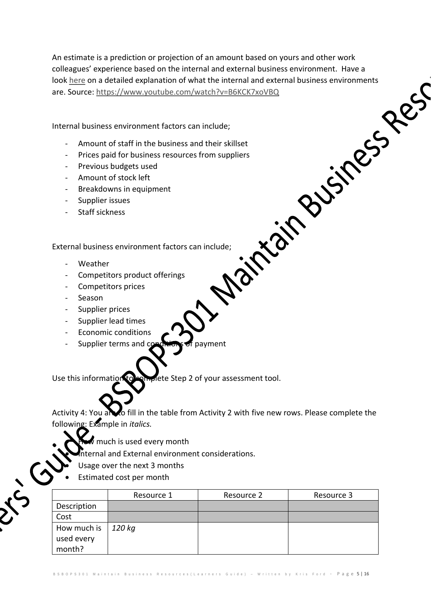An estimate is a prediction or projection of an amount based on yours and other work<br>colleagues' experience based on the internal and external business environment. Have a<br>look <u>here</u> on a detailed explanation of what the colleagues' experience based on the internal and external business environment. Have a look here on a detailed explanation of what the internal and external business environments are. Source: https://www.youtube.com/watch?v=B6KCK7xoVBQ

Internal business environment factors can include;

- Amount of staff in the business and their skillset
- Prices paid for business resources from suppliers
- Previous budgets used
- Amount of stock left
- Breakdowns in equipment
- Supplier issues
- Staff sickness

External business environment factors can include;

- Weather
- Competitors product offerings
- Competitors prices
- Season
- Supplier prices
- Supplier lead times
- Economic conditions
- Supplier terms and conditions of payment

Use this information to complete Step 2 of your assessment tool.

Activity 4: You and o fill in the table from Activity 2 with five new rows. Please complete the following: Example in *italics.*

- $\ell$  much is used every month
- nternal and External environment considerations.
- Usage over the next 3 months
- Estimated cost per month

 $\bigodot$ 

|             | Resource 1 | Resource 2 | Resource 3 |
|-------------|------------|------------|------------|
| Description |            |            |            |
| Cost        |            |            |            |
| How much is | 120 kg     |            |            |
| used every  |            |            |            |
| month?      |            |            |            |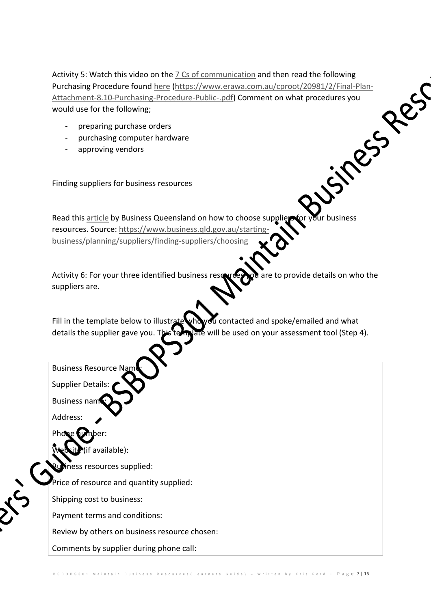Activity 5: Watch this video on the <u>7 Cs of communication</u> and then read the following<br>
Purchasing Procedure found <u>here</u> (https://www.erawa.com.au/cproot/20981/2/Final-Plan-<br>
Attachment-8.10-Purchasing-Procedure-Public-. Purchasing Procedure found here (https://www.erawa.com.au/cproot/20981/2/Final-Plan-Attachment-8.10-Purchasing-Procedure-Public-.pdf) Comment on what procedures you would use for the following;

- preparing purchase orders
- purchasing computer hardware
- approving vendors

Finding suppliers for business resources

Read this article by Business Queensland on how to choose suppliers for your business resources. Source: https://www.business.qld.gov.au/startingbusiness/planning/suppliers/finding-suppliers/choosing

Activity 6: For your three identified business resources you are to provide details on who the suppliers are.

Fill in the template below to illustrate who you contacted and spoke/emailed and what details the supplier gave you. This tell are will be used on your assessment tool (Step 4).

**Business Resource Name:** 

Supplier Details:

**Business name** 

Address:

Phone bumber:

(if available):

ness resources supplied:

Price of resource and quantity supplied:

Shipping cost to business:

Payment terms and conditions:

Review by others on business resource chosen:

Comments by supplier during phone call: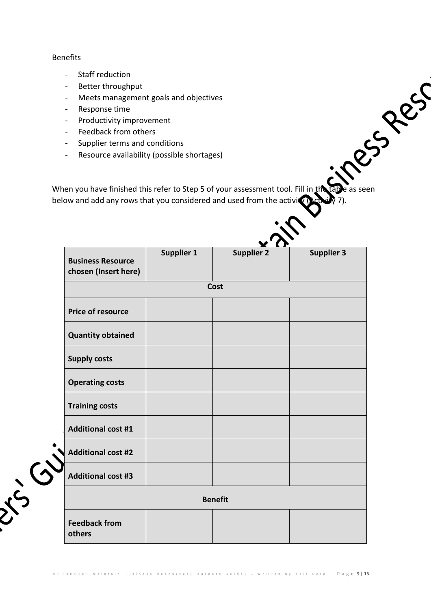## Benefits

- Staff reduction
- Better throughput
- Meets management goals and objectives
- Response time
- Productivity improvement
- Feedback from others
- Supplier terms and conditions
- Resource availability (possible shortages)

When you have finished this refer to Step 5 of your assessment tool. Fill in the table as seen below and add any rows that you considered and used from the activity (Activity 7).

|                                                  | '                 |                   |                   |  |  |  |
|--------------------------------------------------|-------------------|-------------------|-------------------|--|--|--|
| <b>Business Resource</b><br>chosen (Insert here) | <b>Supplier 1</b> | <b>Supplier 2</b> | <b>Supplier 3</b> |  |  |  |
|                                                  | Cost              |                   |                   |  |  |  |
| <b>Price of resource</b>                         |                   |                   |                   |  |  |  |
| <b>Quantity obtained</b>                         |                   |                   |                   |  |  |  |
| <b>Supply costs</b>                              |                   |                   |                   |  |  |  |
| <b>Operating costs</b>                           |                   |                   |                   |  |  |  |
| <b>Training costs</b>                            |                   |                   |                   |  |  |  |
| <b>Additional cost #1</b>                        |                   |                   |                   |  |  |  |
| <b>Additional cost #2</b>                        |                   |                   |                   |  |  |  |
| <b>Additional cost #3</b>                        |                   |                   |                   |  |  |  |
| 3.55                                             |                   | <b>Benefit</b>    |                   |  |  |  |
| <b>Feedback from</b><br>others                   |                   |                   |                   |  |  |  |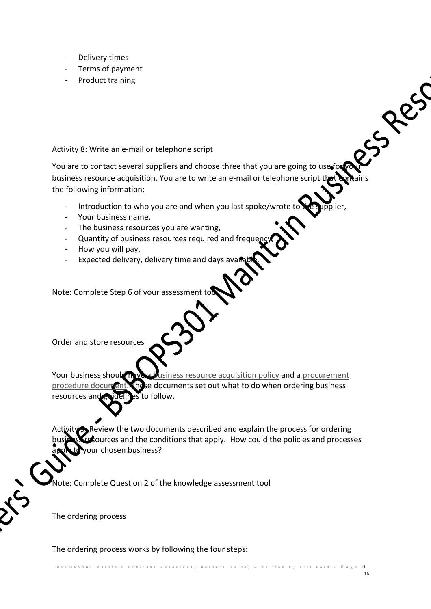- Delivery times
- Terms of payment
- Product training

Activity 8: Write an e-mail or telephone script

Activity 8: Write an e-mail or telephone script<br>You are to contact several suppliers and choose three that you are going to use for your business resource acquisition. You are to write an e-mail or telephone script that the following information;

- Introduction to who you are and when you last spoke/wrote to
- Your business name,
- The business resources you are wanting,
- Quantity of business resources required and frequency
- How you will pay,
- Expected delivery, delivery time and days avail

Note: Complete Step 6 of your assessment to

Order and store resources

Your business should have a business resource acquisition policy and a procurement procedure document. These documents set out what to do when ordering business resources and guidelines to follow.

Review the two documents described and explain the process for ordering burces and the conditions that apply. How could the policies and processes our chosen business?

lote: Complete Question 2 of the knowledge assessment tool

The ordering process

The ordering process works by following the four steps: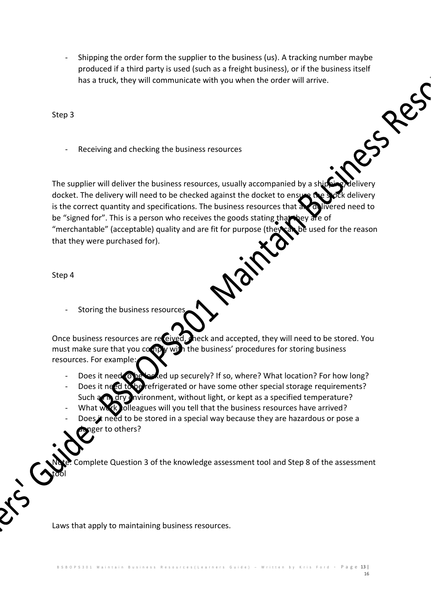- Shipping the order form the supplier to the business (us). A tracking number maybe produced if a third party is used (such as a freight business), or if the business itself Russes has a truck, they will communicate with you when the order will arrive.

Step 3

Receiving and checking the business resources

The supplier will deliver the business resources, usually accompanied by a ship docket. The delivery will need to be checked against the docket to ensure the stock delivery is the correct quantity and specifications. The business resources that an delivered need to be "signed for". This is a person who receives the goods stating that they are of "merchantable" (acceptable) quality and are fit for purpose (they can be used for the reason that they were purchased for).

Mair

Step 4

tool

 $\bigodot$ 

Storing the business resources

Once business resources are received, meck and accepted, they will need to be stored. You must make sure that you comply with the business' procedures for storing business resources. For example:

- Does it need to be locked up securely? If so, where? What location? For how long?
- Does it need to be refrigerated or have some other special storage requirements?  $\tilde{N}$ ironment, without light, or kept as a specified temperature?
- olleagues will you tell that the business resources have arrived?
- Does it need to be stored in a special way because they are hazardous or pose a nger to others?

omplete Question 3 of the knowledge assessment tool and Step 8 of the assessment

Laws that apply to maintaining business resources.